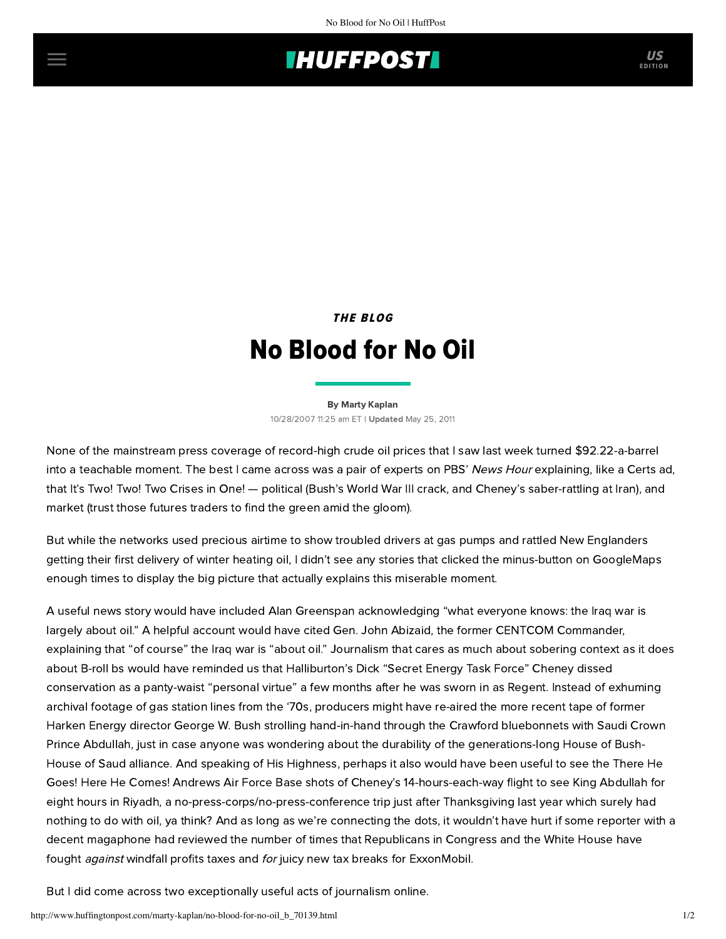## **THUFFPOSTI** US

THE BLOG

## No Blood for No Oil

[By Marty Kaplan](http://www.huffingtonpost.com/author/marty-kaplan) 10/28/2007 11:25 am ET | Updated May 25, 2011

None of the mainstream press coverage of record-high crude oil prices that I saw last week turned \$92.22-a-barrel into a teachable moment. The best I came across was a pair of experts on PBS' News Hour explaining, like a Certs ad, that It's Two! Two! Two Crises in One! — political (Bush's World War III crack, and Cheney's saber-rattling at Iran), and market (trust those futures traders to find the green amid the gloom).

But while the networks used precious airtime to show troubled drivers at gas pumps and rattled New Englanders getting their first delivery of winter heating oil, I didn't see any stories that clicked the minus-button on GoogleMaps enough times to display the big picture that actually explains this miserable moment.

A useful news story would have included [Alan Greenspan](http://www.timesonline.co.uk/tol/news/world/article2461214.ece) acknowledging "what everyone knows: the Iraq war is largely about oil." A helpful account would have cited [Gen. John Abizaid,](http://thinkprogress.org/2007/10/15/abizaid-middle-east-gas-station/) the former CENTCOM Commander, explaining that "of course" the Iraq war is "about oil." Journalism that cares as much about sobering context as it does about B-roll bs would have reminded us that Halliburton's [Dick "Secret Energy Task Force"](http://www.usatoday.com/news/washington/2001-05-01-cheney-usat.htm) Cheney dissed conservation as a panty-waist "personal virtue" a few months after he was sworn in as Regent. Instead of exhuming archival footage of gas station lines from the '70s, producers might have re-aired the more recent tape of former Harken Energy director George W. Bush strolling hand-in-hand through the Crawford bluebonnets with Saudi Crown Prince Abdullah, just in case anyone was wondering about the durability of the generations-long House of Bush-House of Saud alliance. And speaking of His Highness, perhaps it also would have been useful to see the There He Goes! Here He Comes! Andrews Air Force Base shots of Cheney's 14-hours-each-way flight to see King Abdullah for eight hours in Riyadh, a no-press-corps/no-press-conference trip just after Thanksgiving last year which surely had [nothing to do with oil,](http://rasheedsworld.blogspot.com/2006/12/what-did-cheney-talk-about-with-king.html) ya think? And as long as we're connecting the dots, it wouldn't have hurt if some reporter with a decent magaphone had reviewed the number of times that Republicans in Congress and the White House have fought *against* [windfall profits taxes](http://www.cnn.com/2006/POLITICS/04/28/congress.oil/index.html) and for juicy [new tax breaks](http://biden.senate.gov/newsroom/details.cfm?id=254832) for ExxonMobil.

But I did come across two exceptionally useful acts of journalism online.